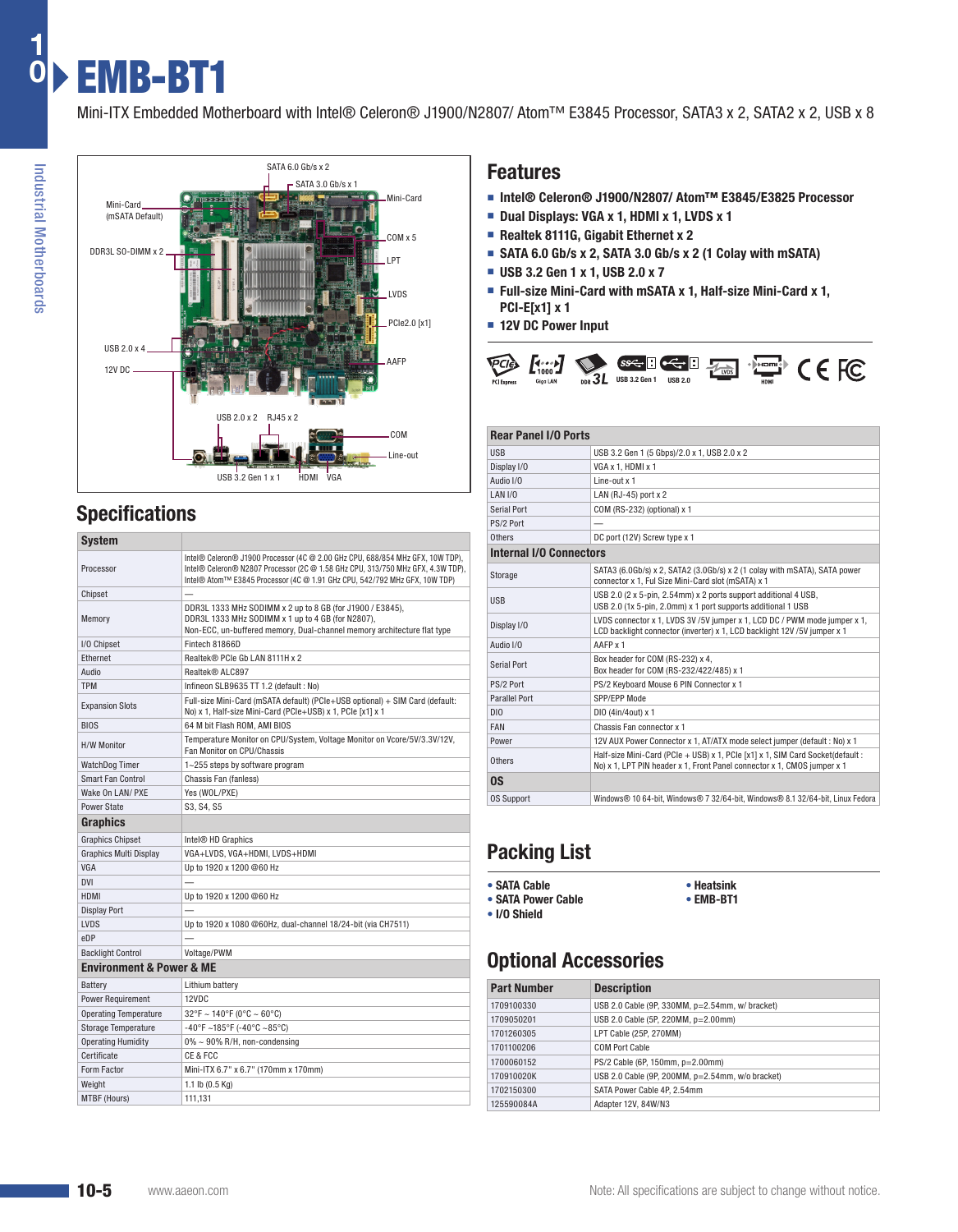Mini-ITX Embedded Motherboard with Intel® Celeron® J1900/N2807/ Atom™ E3845 Processor, SATA3 x 2, SATA2 x 2, USB x 8



## **Specifications**

| <b>System</b>                           |                                                                                                                                                                                                                                                 |  |  |  |  |  |  |
|-----------------------------------------|-------------------------------------------------------------------------------------------------------------------------------------------------------------------------------------------------------------------------------------------------|--|--|--|--|--|--|
| Processor                               | Intel® Celeron® J1900 Processor (4C @ 2.00 GHz CPU, 688/854 MHz GFX, 10W TDP),<br>Intel® Celeron® N2807 Processor (2C @ 1.58 GHz CPU, 313/750 MHz GFX, 4.3W TDP),<br>Intel® Atom™ E3845 Processor (4C @ 1.91 GHz CPU, 542/792 MHz GFX, 10W TDP) |  |  |  |  |  |  |
| Chipset                                 |                                                                                                                                                                                                                                                 |  |  |  |  |  |  |
| Memory                                  | DDR3L 1333 MHz SODIMM x 2 up to 8 GB (for J1900 / E3845),<br>DDR3L 1333 MHz SODIMM x 1 up to 4 GB (for N2807),<br>Non-ECC, un-buffered memory, Dual-channel memory architecture flat type                                                       |  |  |  |  |  |  |
| I/O Chipset                             | Fintech 81866D                                                                                                                                                                                                                                  |  |  |  |  |  |  |
| Ethernet                                | Realtek® PCIe Gb LAN 8111H x 2                                                                                                                                                                                                                  |  |  |  |  |  |  |
| Audio                                   | Realtek® ALC897                                                                                                                                                                                                                                 |  |  |  |  |  |  |
| <b>TPM</b>                              | Infineon SLB9635 TT 1.2 (default: No)                                                                                                                                                                                                           |  |  |  |  |  |  |
| <b>Expansion Slots</b>                  | Full-size Mini-Card (mSATA default) (PCle+USB optional) + SIM Card (default:<br>No) x 1, Half-size Mini-Card (PCle+USB) x 1, PCle [x1] x 1                                                                                                      |  |  |  |  |  |  |
| <b>BIOS</b>                             | 64 M bit Flash ROM, AMI BIOS                                                                                                                                                                                                                    |  |  |  |  |  |  |
| <b>H/W Monitor</b>                      | Temperature Monitor on CPU/System, Voltage Monitor on Vcore/5V/3.3V/12V,<br>Fan Monitor on CPU/Chassis                                                                                                                                          |  |  |  |  |  |  |
| <b>WatchDog Timer</b>                   | 1~255 steps by software program                                                                                                                                                                                                                 |  |  |  |  |  |  |
| <b>Smart Fan Control</b>                | Chassis Fan (fanless)                                                                                                                                                                                                                           |  |  |  |  |  |  |
| Wake On LAN/ PXE                        | Yes (WOL/PXE)                                                                                                                                                                                                                                   |  |  |  |  |  |  |
| Power State                             | S3, S4, S5                                                                                                                                                                                                                                      |  |  |  |  |  |  |
| <b>Graphics</b>                         |                                                                                                                                                                                                                                                 |  |  |  |  |  |  |
| <b>Graphics Chipset</b>                 | Intel <sup>®</sup> HD Graphics                                                                                                                                                                                                                  |  |  |  |  |  |  |
| <b>Graphics Multi Display</b>           | VGA+LVDS, VGA+HDMI, LVDS+HDMI                                                                                                                                                                                                                   |  |  |  |  |  |  |
| <b>VGA</b>                              | Up to 1920 x 1200 @60 Hz                                                                                                                                                                                                                        |  |  |  |  |  |  |
| <b>DVI</b>                              |                                                                                                                                                                                                                                                 |  |  |  |  |  |  |
| <b>HDMI</b>                             | Up to 1920 x 1200 @60 Hz                                                                                                                                                                                                                        |  |  |  |  |  |  |
| <b>Display Port</b>                     |                                                                                                                                                                                                                                                 |  |  |  |  |  |  |
| <b>LVDS</b>                             | Up to 1920 x 1080 @60Hz, dual-channel 18/24-bit (via CH7511)                                                                                                                                                                                    |  |  |  |  |  |  |
| eDP                                     |                                                                                                                                                                                                                                                 |  |  |  |  |  |  |
| <b>Backlight Control</b>                | Voltage/PWM                                                                                                                                                                                                                                     |  |  |  |  |  |  |
| <b>Environment &amp; Power &amp; ME</b> |                                                                                                                                                                                                                                                 |  |  |  |  |  |  |
| Battery                                 | Lithium battery                                                                                                                                                                                                                                 |  |  |  |  |  |  |
| <b>Power Requirement</b>                | 12VDC                                                                                                                                                                                                                                           |  |  |  |  |  |  |
| <b>Operating Temperature</b>            | $32^{\circ}$ F ~ 140°F (0°C ~ 60°C)                                                                                                                                                                                                             |  |  |  |  |  |  |
| <b>Storage Temperature</b>              | -40°F ~185°F (-40°C ~85°C)                                                                                                                                                                                                                      |  |  |  |  |  |  |
| <b>Operating Humidity</b>               | $0\% \sim 90\%$ R/H, non-condensing                                                                                                                                                                                                             |  |  |  |  |  |  |
| Certificate                             | CE & FCC                                                                                                                                                                                                                                        |  |  |  |  |  |  |
| Form Factor                             | Mini-ITX 6.7" x 6.7" (170mm x 170mm)                                                                                                                                                                                                            |  |  |  |  |  |  |
| Weight                                  | 1.1 lb (0.5 Kg)                                                                                                                                                                                                                                 |  |  |  |  |  |  |
| MTBF (Hours)                            | 111,131                                                                                                                                                                                                                                         |  |  |  |  |  |  |

#### **Features**

- **Intel® Celeron® J1900/N2807/ Atom™ E3845/E3825 Processor**
- **Dual Displays: VGA x 1, HDMI x 1, LVDS x 1**
- **Realtek 8111G, Gigabit Ethernet x 2**
- **SATA 6.0 Gb/s x 2, SATA 3.0 Gb/s x 2 (1 Colay with mSATA)**
- **USB 3.2 Gen 1 x 1, USB 2.0 x 7**
- **Full-size Mini-Card with mSATA x 1, Half-size Mini-Card x 1, PCI-E[x1] x 1**
- **12V DC Power Input**



#### **Rear Panel I/O Ports** USB USB 3.2 Gen 1 (5 Gbps)/2.0 x 1, USB 2.0 x 2 Display I/O VGA x 1, HDMI x 1<br>Audio I/O Line-out x 1 Line-out x 1 LAN I/O LAN (RJ-45) port x 2 Serial Port COM (RS-232) (optional) x 1 PS/2 Port Others DC port (12V) Screw type x 1 **Internal I/O Connectors** Storage SATA3 (6.0Gb/s) x 2, SATA2 (3.0Gb/s) x 2 (1 colay with mSATA), SATA power connector x 1, Ful Size Mini-Card slot (mSATA) x 1 USB 2.0 (2 x 5-pin, 2.54mm) x 2 ports support additional 4 USB, USB 2.0 (1x 5-pin, 2.0mm) x 1 port supports additional 1 USB Display I/O LVDS connector x 1, LVDS 3V /5V jumper x 1, LCD DC / PWM mode jumper x 1, LCD backlight connector (inverter) x 1, LCD backlight 12V /5V jumper x 1 Audio I/O AAFP x 1 Serial Port Box header for COM (RS-232) x 4,<br>Box header for COM (RS-232/422/485) x 1 PS/2 Port PS/2 Keyboard Mouse 6 PIN Connector x 1 Parallel Port SPP/EPP Mode DIO DIO (4in/4out) x 1 FAN Chassis Fan connector x 1 Power 12V AUX Power Connector x 1, AT/ATX mode select jumper (default : No) x 1 Others Half-size Mini-Card (PCIe + USB) x 1, PCIe [x1] x 1, SIM Card Socket(default : No) x 1, LPT PIN header x 1, Front Panel connector x 1, CMOS jumper x 1 **OS** OS Support Windows® 10 64-bit, Windows® 7 32/64-bit, Windows® 8.1 32/64-bit, Linux Fedora

# **Packing List**

- **• SATA Cable**
- **• SATA Power Cable • I/O Shield**
- **• Heatsink**
- **• EMB-BT1**

# **Optional Accessories**

| <b>Part Number</b> | <b>Description</b>                                    |
|--------------------|-------------------------------------------------------|
| 1709100330         | USB 2.0 Cable (9P, $330MM$ , $p=2.54mm$ , w/ bracket) |
| 1709050201         | USB 2.0 Cable (5P, 220MM, p=2.00mm)                   |
| 1701260305         | LPT Cable (25P, 270MM)                                |
| 1701100206         | COM Port Cable                                        |
| 1700060152         | PS/2 Cable (6P, 150mm, p=2.00mm)                      |
| 170910020K         | USB 2.0 Cable (9P, 200MM, p=2.54mm, w/o bracket)      |
| 1702150300         | SATA Power Cable 4P. 2.54mm                           |
| 125590084A         | Adapter 12V, 84W/N3                                   |